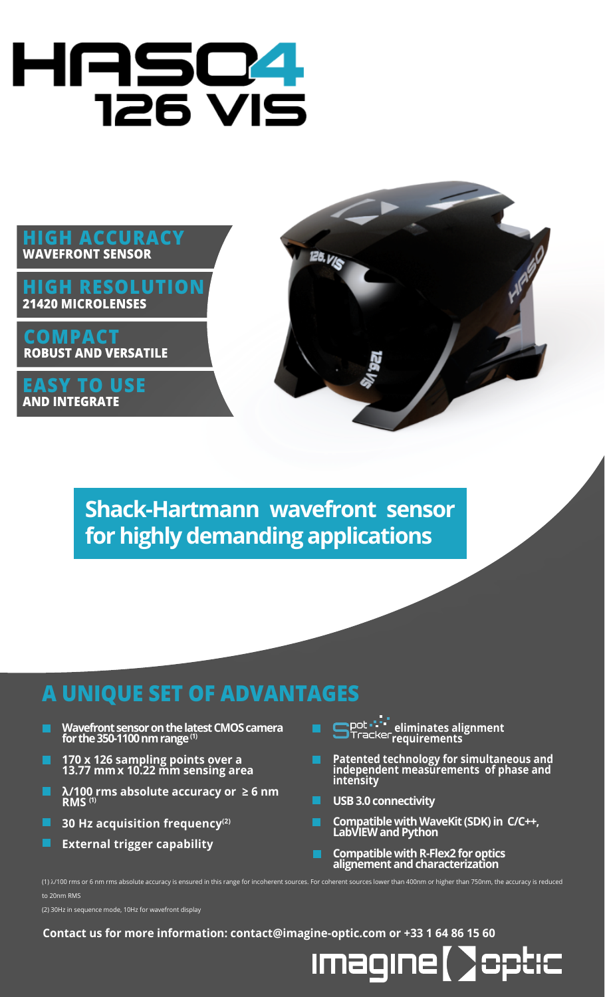# HAS04 **126 VIS**

#### **HIGH ACCURACY METROLOGY WAVEFRONT SENSOR WAVEFRONT SENSOR**

**HIGH RESOLUTION 21420 MICROLENSES**

**COMPACT ROBUST AND VERSATILE**

**EASY TO USE AND INTEGRATE**



**Shack-Hartmann wavefront sensor for highly demanding applications**

## **A UNIQUE SET OF ADVANTAGES**

- **Wavefront sensor on the latest CMOS camera for the 350-1100 nm range (1)**
- **170 x 126 sampling points over a 13.77 mmx 10.22 mm sensing area**
- **λ/100 rms absolute accuracy or ≥ 6 nm RMS (1)**
- П **30 Hz acquisition frequency(2)**
- **External trigger capability**

(2) 30Hz in sequence mode, 10Hz for wavefront display

to 20nm RMS

- **eliminates alignment requirements**
- **Patented technology for simultaneous and independent measurements of phase and intensity**
- **USB 3.0 connectivity**
- **Compatible with WaveKit (SDK) in C/C++, LabVIEW and Python**
- **Compatible with R-Flex2 for optics alignement and characterization**

**Contact us for more information: contact@imagine-optic.com or +33 1 64 86 15 60**

(1) l/100 rms or 6 nm rms absolute accuracy is ensured in this range for incoherent sources. For coherent sources lower than 400nm or higher than 750nm, the accuracy is reduced

Imagine ( CCLIC